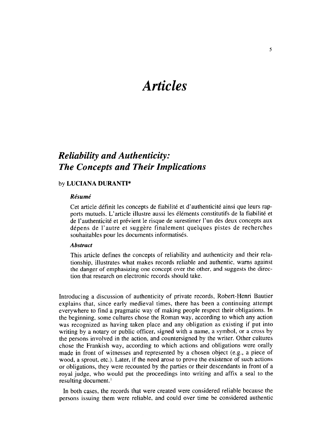# *Articles*

# *Reliability and Authenticity: The Concepts and Their Implications*

# by **LUCIANA DURANTI\***

### **Résumé**

Cet article définit les concepts de fiabilité et d'authenticité ainsi que leurs rapports mutuels. L'article illustre aussi les éléments constitutifs de la fiabilité et de l'authenticité et prévient le risque de surestimer l'un des deux concepts aux dépens de l'autre et suggère finalement quelques pistes de recherches souhaitables pour les documents informatisés.

# *Abstract*

This article defines the concepts of reliability and authenticity and their relationship, illustrates what makes records reliable and authentic, warns against the danger of emphasizing one concept over the other, and suggests the direction that research on electronic records should take.

Introducing a discussion of authenticity of private records, Robert-Henri Bautier explains that, since early medieval times, there has been a continuing attempt everywhere to find a pragmatic way of making people respect their obligations. In the beginning, some cultures chose the Roman way, according to which any action was recognized as having taken place and any obligation as existing if put into writing by a notary or public officer, signed with a name, a symbol, or a cross by the persons involved in the action, and countersigned by the writer. Other cultures chose the Frankish way, according to which actions and obligations were orally made in front of witnesses and represented by a chosen object (e.g., a piece of wood, a sprout, etc.). Later, if the need arose to prove the existence of such actions or obligations, they were recounted by the parties or their descendants in front of a royal judge, who would put the proceedings into writing and affix a seal to the resulting document.'

In both cases, the records that were created were considered reliable because the persons issuing them were reliable, and could over time be considered authentic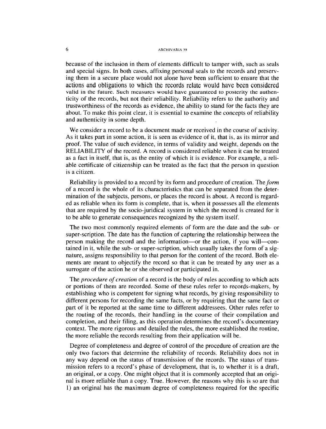## 6 ARCHIVARIA 39

because of the inclusion in them of elements difficult to tamper with, such as seals and special signs. In both cases, affixing personal seals to the records and preserving them in a secure place would not alone have been sufficient to ensure that the actions and obligations to which the records relate would have been considered valid in the future. Such measures would have guaranteed to posterity the authenticity of the records, but not their reliability. Reliability refers to the authority and trustworthiness of the records as evidence, the ability to stand for the facts they are about. To make this point clear, it is essential to examine the concepts of reliability and authenticity in some depth.

We consider a record to be a document made or received in the course of activity. As it takes part in some action, it is seen as evidence of it, that is, as its mirror and proof. The value of such evidence, in terms of validity and weight, depends on the RELIABILITY of the record. A record is considered reliable when it can be treated as a fact in itself, that is, as the entity of which it is evidence. For example, a reliable certificate of citizenship can be treated as the fact that the person in question is a citizen.

Reliability is provided to a record by its form and procedure of creation. The *form*  of a record is the whole of its characteristics that can be separated from the determination of the subjects, persons, or places the record is about. A record is regarded as reliable when its form is complete, that is, when it possesses all the elements that are required by the socio-juridical system in which the record is created for it to be able to generate consequences recognized by the system itself.

The two most commonly required elements of form are the date and the sub- or super-scription. The date has the function of capturing the relationship between the person making the record and the information-or the action, if you will-contained in it, while the sub- or super-scription, which usually takes the form of a signature, assigns responsibility to that person for the content of the record. Both elements are meant to objectify the record so that it can be treated by any user as a surrogate of the action he or she observed or participated in.

The *procedure of creation* of a record is the body of rules according to which acts or portions of them are recorded. Some of these rules refer to records-makers, by establishing who is competent for signing what records, by giving responsibility to different persons for recording the same facts, or by requiring that the same fact or part of it be reported at the same time to different addressees. Other rules refer to the routing of the records, their handling in the course of their compilation and completion, and their filing, as this operation determines the record's documentary context. The more rigorous and detailed the rules, the more established the routine, the more reliable the records resulting from their application will be.

Degree of completeness and degree of control of the procedure of creation are the only two factors that determine the reliability of records. Reliability does not in any way depend on the status of transmission of the records. The status of transmission refers to a record's phase of development, that is, to whether it is a draft, an original, or a copy. One might object that it is commonly accepted that an original is more reliable than a copy. True. However, the reasons why this is so are that 1) an original has the maximum degree of completeness required for the specific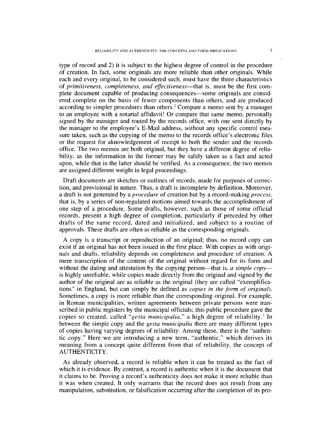type of record and 2) it is subject to the highest degree of control in the procedure of creation. In fact, some originals are more reliable than other originals. While each and every original, to be considered such, must have the three characteristics of *primitiveness, completeness, and effectiveness-that* is, must be the first complete document capable of producing consequences-some originals are considered complete on the basis of fewer components than others, and are produced according to simpler procedures than others.<sup>2</sup> Compare a memo sent by a manager to an employee with a notarial affidavit! Or compare that same memo, personally signed by the manager and routed by the records office, with one sent directly by the manager to the employee's E-Mail address, without any specific control measure taken, such as the copying of the memo to the records office's electronic files or the request for aknowledgement of receipt to both the sender and the records office. The two memos are both original, but they have a different degree of reliability, as the information in the former may be safely taken as a fact and acted upon, while that in the latter should be verified. As a consequence, the two memos are assigned different weight in legal proceedings.

Draft documents are sketches or outlines of records, made for purposes of correction, and provisional in nature. Thus, a draft is incomplete by definition. Moreover, a draft is not generated by a *procedure* of creation but by a record-making *process,*  that is, by a series of non-regulated motions aimed towards the accomplishment of one step of a procedure. Some drafts, however, such as those of some official records, present a high degree of completion, particularly if preceded by other drafts of the same record, dated and initialized, and subject to a routine of approvals. These drafts are often as reliable as the corresponding originals.

A copy is a transcript or reproduction of an original; thus, no record copy can exist if an original has not been issued in the first place. With copies as with originals and drafts, reliability depends on completeness and procedure of creation. A mere transcription of the content of the original without regard for its form and without the dating and attestation by the copying person—that is, *a simple copy* is highly unreliable, while copies made directly from the original and signed by the author of the original are as reliable as the original (they are called "exemplifications" in England, but can simply be defined as *copies in the form of original*). Sometimes, a copy is more reliable than the corresponding original. For example, in Roman municipalities, written agreements between private persons were transcribed in public registers by the municipal officials; this public procedure gave the copies so created, called *"gesta municipalia,"* a high degree of reliability.' In between the simple copy and the *gesta municipalia* there are many different types of copies having varying degrees of reliability. Among these, there is the "authentic copy." Here we are introducing a new term, "authentic," which derives its meaning from a concept quite different from that of reliability, the concept of AUTHENTICITY.

As already observed, a record is reliable when it can be treated as the fact of which it is evidence. By contrast, a record is authentic when it is the document that it claims to be. Proving a record's authenticity does not make it more reliable than it was when created. It only warrants that the record does not result from any manipulation, substitution, or falsification occurring after the completion of its pro-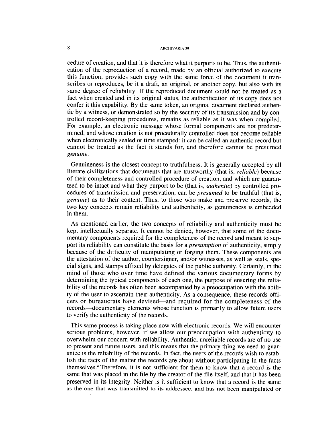# **8 ARCHIVARIA 39**

cedure of creation, and that it is therefore what it purports to be. Thus, the authentication of the reproduction of a record, made by an official authorized to execute this function, provides such copy with the same force of the document it transcribes or reproduces, be it a draft, an original, or another copy, but also with its same degree of reliability. If the reproduced document could not be treated as a fact when created and in its original status, the authentication of its copy does not confer it this capability. By the same token, an original document declared authentic by a witness, or demonstrated so by the security of its transmission and by controlled record-keeping procedures, remains as reliable as it was when compiled. For example, an electronic message whose formal components are not predetermined, and whose creation is not procedurally controlled does not become reliable when electronically sealed or time stamped: it can be called an authentic record but cannot be treated as the fact it stands for, and therefore cannot be presumed *genuine.* 

Genuineness is the closest concept to truthfulness. It is generally accepted by all literate civilizations that documents that are trustworthy (that is, *reliable)* because of their completeness and controlled procedure of creation, and which are guaranteed to be intact and what they purport to be (that is, *authentic)* by controlled procedures of transmission and preservation, can be *presumed* to be truthful (that is, *genuine)* as to their content. Thus, to those who make and preserve records, the two key concepts remain reliability and authenticity, as genuineness is embedded in them.

As mentioned earlier, the two concepts of reliability and authenticity must be kept intellectually separate. It cannot be denied, however, that some of the documentary components required for the completeness of the record and meant to support its reliability can constitute the basis for a *presumption* of authenticity, simply because of the difficulty of manipulating or forging them. These components are the attestation of the author, countersigner, and/or witnesses, as well as seals, special signs, and stamps affixed by delegates of the public authority. Certainly, in the mind of those who over time have defined the various documentary forms by determining the typical components of each one, the purpose of ensuring the reliability of the records has often been accompanied by a preoccupation with the ability of the user to ascertain their authenticity. As a consequence, these records officers or bureaucrats have devised—and required for the completeness of the records--documentary elements whose function is primarily to allow future users to verify the authenticity of the records.

This same process is taking place now with electronic records. We will encounter serious problems, however, if we allow our preoccupation with authenticity to overwhelm our concern with reliability. Authentic, unreliable records are of no use to present and future users, and this means that the primary thing we need to guarantee is the reliability of the records. In fact, the users of the records wish to establish the facts of the matter the records are about without participating in the facts themselves.<sup>4</sup> Therefore, it is not sufficient for them to know that a record is the same that was placed in the file by the creator of the file itself, and that it has been preserved in its integrity. Neither is it sufficient to know that a record is the same as the one that was transmitted to its addressee, and has not been manipulated or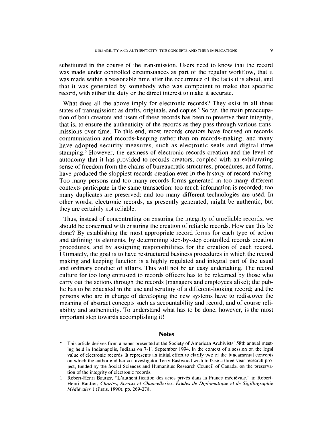substituted in the course of the transmission. Users need to know that the record was made under controlled circumstances as part of the regular workflow, that it was made within a reasonable time after the occurrence of the facts it is about, and that it was generated by somebody who was competent to make that specific record, with either the duty or the direct interest to make it accurate.

What does all the above imply for electronic records? They exist in all three states of transmission: as drafts, originals, and copies.<sup>5</sup> So far, the main preoccupation of both creators and users of these records has been to preserve their integrity, that is, to ensure the authenticity of the records as they pass through various transmissions over time. To this end, most records creators have focused on records communication and records-keeping rather than on records-making, and many have adopted security measures, such as electronic seals and digital time stamping.<sup>6</sup> However, the easiness of electronic records creation and the level of autonomy that it has provided to records creators, coupled with an exhilarating sense of freedom from the chains of bureaucratic structures, procedures, and forms, have produced the sloppiest records creation ever in the history of record making. Too many persons and too many records forms generated in too many different contexts participate in the same transaction; too much information is recorded; too many duplicates are preserved; and too many different technologies are used. In other words; electronic records, as presently generated, might be authentic, but they are certainly not reliable.

Thus, instead of concentrating on ensuring the integrity of unreliable records, we should be concerned with ensuring the creation of reliable records. How can this be done? By establishing the most appropriate record forms for each type of action and defining its elements, by determining step-by-step controlled records creation procedures, and by assigning responsibilities for the creation of each record. Ultimately, the goal is to have restructured business procedures in which the record making and keeping function is a highly regulated and integral part of the usual and ordinary conduct of affairs. This will not be an easy undertaking. The record culture for too long entrusted to records officers has to be relearned by those who carry out the actions through the records (managers and employees alike); the public has to be educated in the use and scrutiny of a different-looking record; and the persons who are in charge of developing the new systems have to rediscover the meaning of abstract concepts such as accountability and record, and of course reliability and authenticity. To understand what has to be done, however, is the most important step towards accomplishing it!

#### **Notes**

- This article derives from a paper presented at the Society of American Archivists' 58th annual meeting held in Indianapolis, Indiana on 7-1 1 September 1994, in the context of a session on the legal value of electronic records. It represents an initial effort to clarify two of the fundamental concepts on which the author and her co-investigator Terry Eastwood wish to base a three-year research project, funded by the Social Sciences and Humanities Research Council of Canada, on the preservation of the integrity of electronic records.
- 1 Robert-Henri Bautier, "L'authentification des actes privés dans la France médiévale," in Robert-Henri Bautier, *Chartes, Sceaux et Chancelleries. Etudes de Diplornatique et de Sigillographie Médiévales* 1 (Paris, 1990), pp. 269-278.